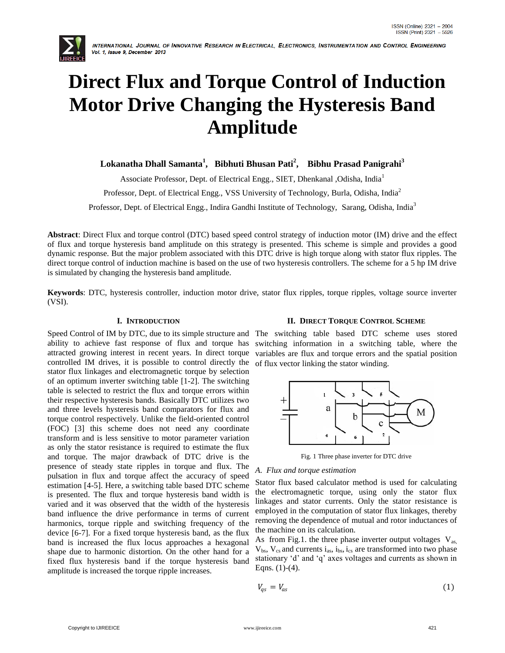

INTERNATIONAL JOURNAL OF INNOVATIVE RESEARCH IN ELECTRICAL, ELECTRONICS, INSTRUMENTATION AND CONTROL ENGINEERING Vol. 1, Issue 9, December 2013

# **Direct Flux and Torque Control of Induction Motor Drive Changing the Hysteresis Band Amplitude**

 $L$ okanatha Dhall Samanta<sup>1</sup>, Bibhuti Bhusan Pati<sup>2</sup>, Bibhu Prasad Panigrahi<sup>3</sup>

Associate Professor, Dept. of Electrical Engg., SIET, Dhenkanal , Odisha, India<sup>1</sup>

Professor, Dept. of Electrical Engg., VSS University of Technology, Burla, Odisha, India<sup>2</sup>

Professor, Dept. of Electrical Engg., Indira Gandhi Institute of Technology, Sarang, Odisha, India<sup>3</sup>

**Abstract**: Direct Flux and torque control (DTC) based speed control strategy of induction motor (IM) drive and the effect of flux and torque hysteresis band amplitude on this strategy is presented. This scheme is simple and provides a good dynamic response. But the major problem associated with this DTC drive is high torque along with stator flux ripples. The direct torque control of induction machine is based on the use of two hysteresis controllers. The scheme for a 5 hp IM drive is simulated by changing the hysteresis band amplitude.

**Keywords**: DTC, hysteresis controller, induction motor drive, stator flux ripples, torque ripples, voltage source inverter (VSI).

# **I. INTRODUCTION**

Speed Control of IM by DTC, due to its simple structure and ability to achieve fast response of flux and torque has attracted growing interest in recent years. In direct torque controlled IM drives, it is possible to control directly the stator flux linkages and electromagnetic torque by selection of an optimum inverter switching table [1-2]. The switching table is selected to restrict the flux and torque errors within their respective hysteresis bands. Basically DTC utilizes two and three levels hysteresis band comparators for flux and torque control respectively. Unlike the field-oriented control (FOC) [3] this scheme does not need any coordinate transform and is less sensitive to motor parameter variation as only the stator resistance is required to estimate the flux and torque. The major drawback of DTC drive is the presence of steady state ripples in torque and flux. The pulsation in flux and torque affect the accuracy of speed estimation [4-5]. Here, a switching table based DTC scheme is presented. The flux and torque hysteresis band width is varied and it was observed that the width of the hysteresis band influence the drive performance in terms of current harmonics, torque ripple and switching frequency of the device [6-7]. For a fixed torque hysteresis band, as the flux band is increased the flux locus approaches a hexagonal shape due to harmonic distortion. On the other hand for a fixed flux hysteresis band if the torque hysteresis band amplitude is increased the torque ripple increases.

# **II. DIRECT TORQUE CONTROL SCHEME**

The switching table based DTC scheme uses stored switching information in a switching table, where the variables are flux and torque errors and the spatial position of flux vector linking the stator winding.



Fig. 1 Three phase inverter for DTC drive

## *A. Flux and torque estimation*

Stator flux based calculator method is used for calculating the electromagnetic torque, using only the stator flux linkages and stator currents. Only the stator resistance is employed in the computation of stator flux linkages, thereby removing the dependence of mutual and rotor inductances of the machine on its calculation.

As from Fig.1. the three phase inverter output voltages  $V_{as}$ ,  $V_{bs}$ ,  $V_{cs}$  and currents  $i_{as}$ ,  $i_{bs}$ ,  $i_{cs}$  are transformed into two phase stationary "d" and "q" axes voltages and currents as shown in Eqns.  $(1)-(4)$ .

$$
V_{qs} = V_{as} \tag{1}
$$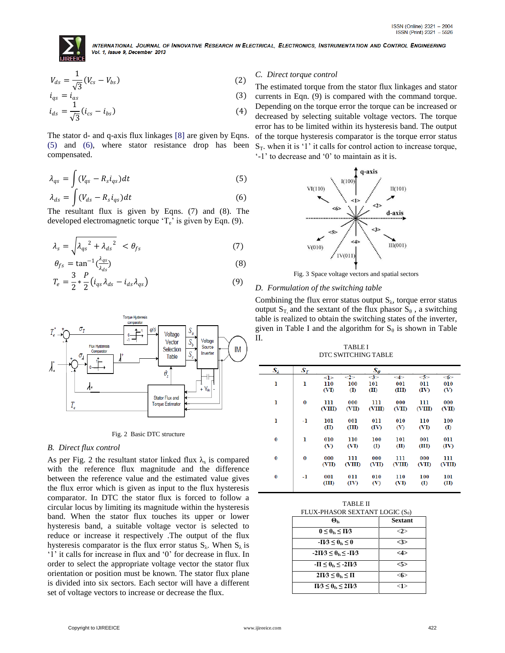

INTERNATIONAL JOURNAL OF INNOVATIVE RESEARCH IN ELECTRICAL, ELECTRONICS, INSTRUMENTATION AND CONTROL ENGINEERING Vol. 1, Issue 9, December 2013

$$
V_{ds} = \frac{1}{\sqrt{3}} (V_{cs} - V_{bs})
$$
 (2)

$$
i_{qs} = i_{as}
$$
  
\n
$$
i_{ds} = \frac{1}{\sqrt{3}} (i_{cs} - i_{bs})
$$
\n(3)

The stator d- and q-axis flux linkages [8] are given by Eqns. (5) and (6), where stator resistance drop has been compensated.

$$
\lambda_{qs} = \int (V_{qs} - R_s i_{qs}) dt \tag{5}
$$

$$
\lambda_{ds} = \int (V_{ds} - R_s i_{qs}) dt \tag{6}
$$

The resultant flux is given by Eqns. (7) and (8). The developed electromagnetic torque  $T_e$ ' is given by Eqn. (9).

$$
\lambda_s = \sqrt{\lambda_{qs}^2 + {\lambda_{ds}}^2} < \theta_{fs} \tag{7}
$$

$$
\theta_{fs} = \tan^{-1}(\frac{\lambda_{qs}}{\lambda_{ds}})
$$
\n(8)

$$
T_e = \frac{3}{2} * \frac{r}{2} \left( i_{qs} \lambda_{ds} - i_{ds} \lambda_{qs} \right)
$$
 (9)



Fig. 2 Basic DTC structure

## *B. Direct flux control*

As per Fig. 2 the resultant stator linked flux  $\lambda_s$  is compared with the reference flux magnitude and the difference between the reference value and the estimated value gives the flux error which is given as input to the flux hysteresis comparator. In DTC the stator flux is forced to follow a circular locus by limiting its magnitude within the hysteresis band. When the stator flux touches its upper or lower hysteresis band, a suitable voltage vector is selected to reduce or increase it respectively .The output of the flux hysteresis comparator is the flux error status  $S_\lambda$ . When  $S_\lambda$  is "1" it calls for increase in flux and "0" for decrease in flux. In order to select the appropriate voltage vector the stator flux orientation or position must be known. The stator flux plane is divided into six sectors. Each sector will have a different set of voltage vectors to increase or decrease the flux.

## *C. Direct torque control*

The estimated torque from the stator flux linkages and stator currents in Eqn. (9) is compared with the command torque. Depending on the torque error the torque can be increased or decreased by selecting suitable voltage vectors. The torque error has to be limited within its hysteresis band. The output of the torque hysteresis comparator is the torque error status  $S_T$ . when it is '1' it calls for control action to increase torque,  $-1$ " to decrease and  $0$ " to maintain as it is.



Fig. 3 Space voltage vectors and spatial sectors

## *D. Formulation of the switching table*

Combining the flux error status output  $S_{\lambda}$ , torque error status output  $S_T$ , and the sextant of the flux phasor  $S_\theta$ , a switching table is realized to obtain the switching states of the inverter, given in Table I and the algorithm for  $S_\theta$  is shown in Table II.

TABLE I DTC SWITCHING TABLE

| $S_2$ | $\bm{S}_{\bm{\mathcal{T}}}$ |                                   |                               | $S_{\theta}$          |                        |                          |                                  |
|-------|-----------------------------|-----------------------------------|-------------------------------|-----------------------|------------------------|--------------------------|----------------------------------|
| ı     | ı                           | < l ><br>110<br>(V <sub>D</sub> ) | $<$ 2><br>100<br>$\mathbf{D}$ | $\leq$<br>101<br>(II) | $\leq$<br>001<br>(III) | 5<br>011<br>(IV)         | $<$ 6 $>$<br>010<br>$\mathbf{v}$ |
| ı     | $\bf{0}$                    | 111<br>(VIII)                     | 000<br>(VII)                  | 111<br>(VIII)         | 000<br>(VII)           | 111<br>(VIII)            | 000<br>(VII)                     |
| ı     | -1                          | 101<br>(II)                       | 001<br>(III)                  | 011<br>(IV)           | 010<br>$\infty$        | 110<br>(VI)              | 100<br>$\mathbf{I}$              |
| 0     | ı                           | 010<br>(V)                        | 110<br>(VI)                   | 100<br>$\rm _{(I)}$   | 101<br>(II)            | 001<br>(III)             | 011<br>(IV)                      |
| 0     | $\bf{0}$                    | 000<br>(VII)                      | 111<br>(VIII)                 | 000<br>(VII)          | 111<br><b>CVIID</b>    | 000<br><b>CVID</b>       | 111<br><b>CVIID</b>              |
| 0     | -1                          | 001<br>(III)                      | 011<br>(IV)                   | 010<br>(V)            | 110<br>(VI)            | 100<br>$\textcircled{r}$ | 101<br>(II)                      |

| <b>TABLE II</b>                             |  |
|---------------------------------------------|--|
| FLUX-PHASOR SEXTANT LOGIC (S <sub>0</sub> ) |  |

| $\boldsymbol{\Theta}_{\text{fe}}$         | <b>Sextant</b> |
|-------------------------------------------|----------------|
| $0 \leq \theta_{fs} \leq \Pi/3$           | <2>            |
| $-I\chi$ 3 < $\theta_{fs}$ < 0            | <3>            |
| $-2\Pi/3 \leq \theta_{fs} \leq -\Pi/3$    | $<$ 4 $>$      |
| $-\Pi \leq \theta_{\rm fs} \leq -2\Pi/3$  | 5>             |
| $2\Pi/3 \leq \theta_{\text{fs}} \leq \Pi$ | <6>            |
| $\Pi/3 \leq \theta_{fs} \leq 2\Pi/3$      | $<$ 1 $>$      |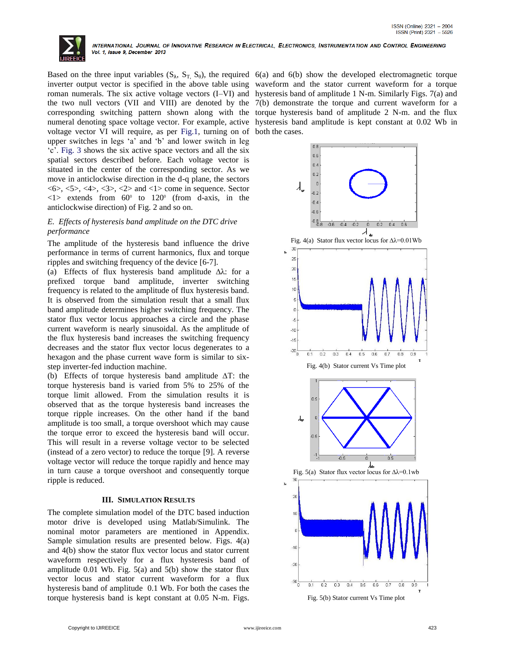

voltage vector VI will require, as per Fig.1, turning on of both the cases. upper switches in legs "a" and "b" and lower switch in leg "c". Fig. 3 shows the six active space vectors and all the six spatial sectors described before. Each voltage vector is situated in the center of the corresponding sector. As we move in anticlockwise direction in the d-q plane, the sectors <6>, <5>, <4>, <3>, <2> and <1> come in sequence. Sector  $\langle 1 \rangle$  extends from 60<sup>°</sup> to 120<sup>°</sup> (from d-axis, in the anticlockwise direction) of Fig. 2 and so on.

# *E. Effects of hysteresis band amplitude on the DTC drive performance*

The amplitude of the hysteresis band influence the drive performance in terms of current harmonics, flux and torque ripples and switching frequency of the device [6-7].

(a) Effects of flux hysteresis band amplitude ∆λ: for a prefixed torque band amplitude, inverter switching frequency is related to the amplitude of flux hysteresis band. It is observed from the simulation result that a small flux band amplitude determines higher switching frequency. The stator flux vector locus approaches a circle and the phase current waveform is nearly sinusoidal. As the amplitude of the flux hysteresis band increases the switching frequency decreases and the stator flux vector locus degenerates to a hexagon and the phase current wave form is similar to sixstep inverter-fed induction machine.

(b) Effects of torque hysteresis band amplitude ∆T: the torque hysteresis band is varied from 5% to 25% of the torque limit allowed. From the simulation results it is observed that as the torque hysteresis band increases the torque ripple increases. On the other hand if the band amplitude is too small, a torque overshoot which may cause the torque error to exceed the hysteresis band will occur. This will result in a reverse voltage vector to be selected (instead of a zero vector) to reduce the torque [9]. A reverse voltage vector will reduce the torque rapidly and hence may in turn cause a torque overshoot and consequently torque ripple is reduced.

## **III. SIMULATION RESULTS**

The complete simulation model of the DTC based induction motor drive is developed using Matlab/Simulink. The nominal motor parameters are mentioned in Appendix. Sample simulation results are presented below. Figs. 4(a) and 4(b) show the stator flux vector locus and stator current waveform respectively for a flux hysteresis band of amplitude 0.01 Wb. Fig. 5(a) and 5(b) show the stator flux vector locus and stator current waveform for a flux hysteresis band of amplitude 0.1 Wb. For both the cases the torque hysteresis band is kept constant at 0.05 N-m. Figs.

Based on the three input variables  $(S_\lambda, S_T, S_\theta)$ , the required 6(a) and 6(b) show the developed electromagnetic torque inverter output vector is specified in the above table using waveform and the stator current waveform for a torque roman numerals. The six active voltage vectors (I–VI) and hysteresis band of amplitude 1 N-m. Similarly Figs. 7(a) and the two null vectors (VII and VIII) are denoted by the 7(b) demonstrate the torque and current waveform for a corresponding switching pattern shown along with the torque hysteresis band of amplitude 2 N-m. and the flux numeral denoting space voltage vector. For example, active hysteresis band amplitude is kept constant at 0.02 Wb in



Fig. 5(b) Stator current Vs Time plot